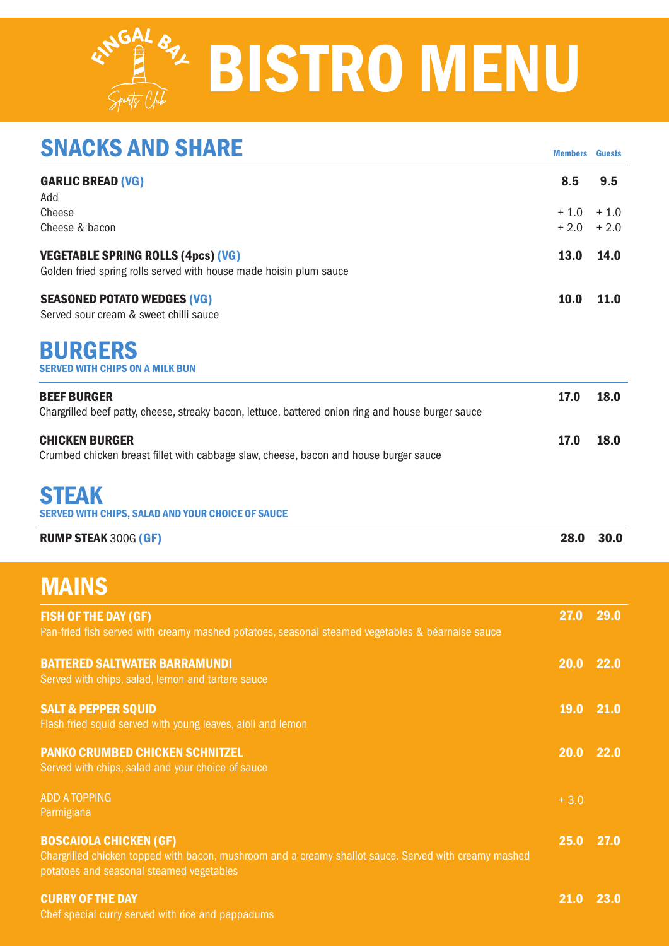# KNGAL 82 BISTRO MENU

| <b>SNACKS AND SHARE</b>                                                                                                                                                            | <b>Members</b> | <b>Guests</b> |
|------------------------------------------------------------------------------------------------------------------------------------------------------------------------------------|----------------|---------------|
| <b>GARLIC BREAD (VG)</b><br>Add<br>Cheese                                                                                                                                          | 8.5<br>$+1.0$  | 9.5<br>$+1.0$ |
| Cheese & bacon                                                                                                                                                                     | $+2.0$         | $+2.0$        |
| <b>VEGETABLE SPRING ROLLS (4pcs) (VG)</b><br>Golden fried spring rolls served with house made hoisin plum sauce                                                                    | 13.0           | 14.0          |
| <b>SEASONED POTATO WEDGES (VG)</b><br>Served sour cream & sweet chilli sauce                                                                                                       | 10.0           | 11.0          |
| <b>BURGERS</b><br><b>SERVED WITH CHIPS ON A MILK BUN</b>                                                                                                                           |                |               |
| <b>BEEF BURGER</b><br>Chargrilled beef patty, cheese, streaky bacon, lettuce, battered onion ring and house burger sauce                                                           | 17.0           | 18.0          |
| <b>CHICKEN BURGER</b><br>Crumbed chicken breast fillet with cabbage slaw, cheese, bacon and house burger sauce                                                                     | 17.0           | 18.0          |
| <b>STEAK</b><br>SERVED WITH CHIPS, SALAD AND YOUR CHOICE OF SAUCE                                                                                                                  |                |               |
| <b>RUMP STEAK 300G (GF)</b>                                                                                                                                                        | 28.0           | 30.0          |
| <b>MAINS</b>                                                                                                                                                                       |                |               |
| <b>FISH OF THE DAY (GF)</b><br>Pan-fried fish served with creamy mashed potatoes, seasonal steamed vegetables & béarnaise sauce                                                    | 27.0           | 29.0          |
| <b>BATTERED SALTWATER BARRAMUNDI</b><br>Served with chips, salad, lemon and tartare sauce                                                                                          | 20.0 22.0      |               |
| <b>SALT &amp; PEPPER SQUID</b><br>Flash fried squid served with young leaves, aioli and lemon                                                                                      | <b>19.0</b>    | 21.0          |
| <b>PANKO CRUMBED CHICKEN SCHNITZEL</b><br>Served with chips, salad and your choice of sauce                                                                                        | 20.0           | 22.0          |
| <b>ADD A TOPPING</b><br>Parmigiana                                                                                                                                                 | $+3.0$         |               |
| <b>BOSCAIOLA CHICKEN (GF)</b><br>Chargrilled chicken topped with bacon, mushroom and a creamy shallot sauce. Served with creamy mashed<br>potatoes and seasonal steamed vegetables | 25.0           | 27.0          |
| <b>CURRY OF THE DAY</b>                                                                                                                                                            | 21.0           | 23.0          |

Chef special curry served with rice and pappadums